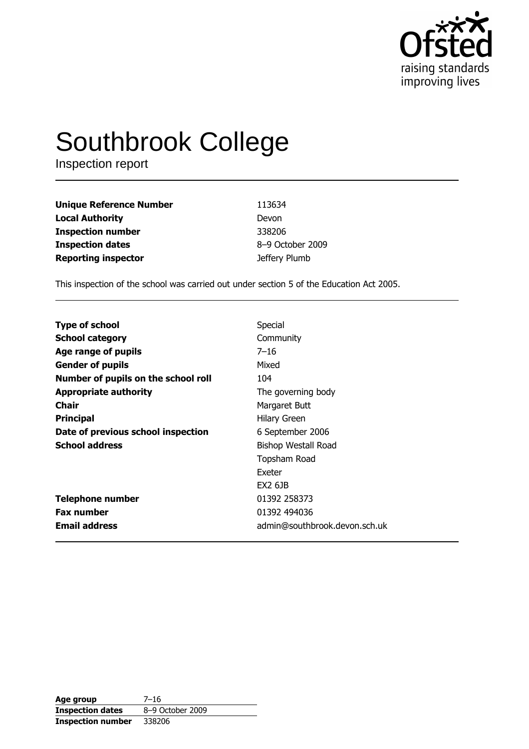

# Southbrook College

Inspection report

| <b>Unique Reference Number</b> | 113634           |
|--------------------------------|------------------|
| <b>Local Authority</b>         | Devon            |
| <b>Inspection number</b>       | 338206           |
| <b>Inspection dates</b>        | 8-9 October 2009 |
| <b>Reporting inspector</b>     | Jeffery Plumb    |

This inspection of the school was carried out under section 5 of the Education Act 2005.

| <b>Type of school</b>               | Special                       |
|-------------------------------------|-------------------------------|
| <b>School category</b>              | Community                     |
| Age range of pupils                 | $7 - 16$                      |
| <b>Gender of pupils</b>             | Mixed                         |
| Number of pupils on the school roll | 104                           |
| <b>Appropriate authority</b>        | The governing body            |
| Chair                               | Margaret Butt                 |
| <b>Principal</b>                    | Hilary Green                  |
| Date of previous school inspection  | 6 September 2006              |
| <b>School address</b>               | <b>Bishop Westall Road</b>    |
|                                     | Topsham Road                  |
|                                     | Exeter                        |
|                                     | <b>EX2 6JB</b>                |
| <b>Telephone number</b>             | 01392 258373                  |
| <b>Fax number</b>                   | 01392 494036                  |
| <b>Email address</b>                | admin@southbrook.devon.sch.uk |

| Age group               | $7 - 16$         |
|-------------------------|------------------|
| <b>Inspection dates</b> | 8-9 October 2009 |
| Inspection number       | 338206           |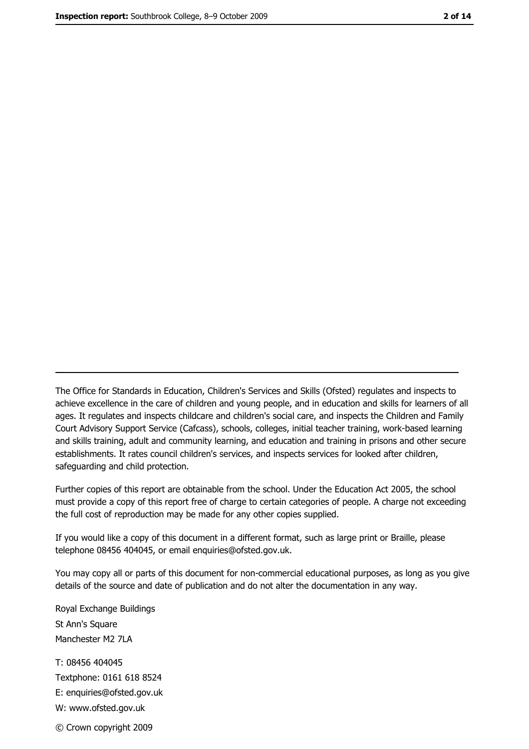The Office for Standards in Education, Children's Services and Skills (Ofsted) regulates and inspects to achieve excellence in the care of children and young people, and in education and skills for learners of all ages. It regulates and inspects childcare and children's social care, and inspects the Children and Family Court Advisory Support Service (Cafcass), schools, colleges, initial teacher training, work-based learning and skills training, adult and community learning, and education and training in prisons and other secure establishments. It rates council children's services, and inspects services for looked after children, safequarding and child protection.

Further copies of this report are obtainable from the school. Under the Education Act 2005, the school must provide a copy of this report free of charge to certain categories of people. A charge not exceeding the full cost of reproduction may be made for any other copies supplied.

If you would like a copy of this document in a different format, such as large print or Braille, please telephone 08456 404045, or email enquiries@ofsted.gov.uk.

You may copy all or parts of this document for non-commercial educational purposes, as long as you give details of the source and date of publication and do not alter the documentation in any way.

Royal Exchange Buildings St Ann's Square Manchester M2 7LA T: 08456 404045 Textphone: 0161 618 8524 E: enquiries@ofsted.gov.uk W: www.ofsted.gov.uk © Crown copyright 2009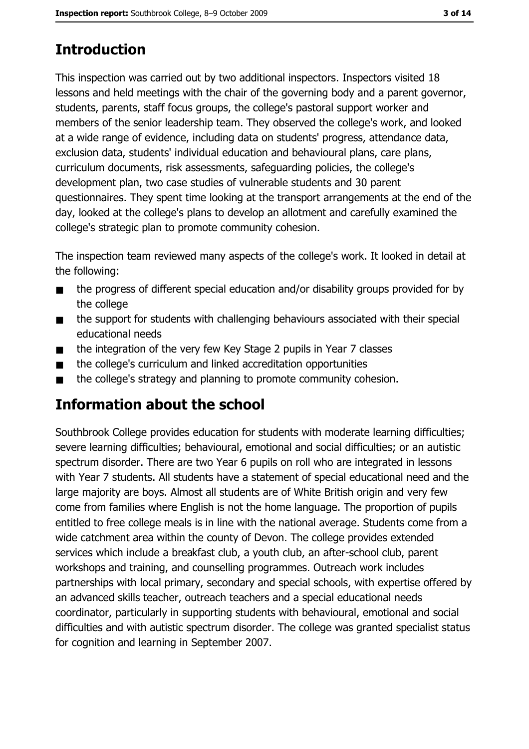# **Introduction**

This inspection was carried out by two additional inspectors. Inspectors visited 18 lessons and held meetings with the chair of the governing body and a parent governor, students, parents, staff focus groups, the college's pastoral support worker and members of the senior leadership team. They observed the college's work, and looked at a wide range of evidence, including data on students' progress, attendance data, exclusion data, students' individual education and behavioural plans, care plans, curriculum documents, risk assessments, safeguarding policies, the college's development plan, two case studies of vulnerable students and 30 parent questionnaires. They spent time looking at the transport arrangements at the end of the day, looked at the college's plans to develop an allotment and carefully examined the college's strategic plan to promote community cohesion.

The inspection team reviewed many aspects of the college's work. It looked in detail at the following:

- the progress of different special education and/or disability groups provided for by  $\blacksquare$ the college
- the support for students with challenging behaviours associated with their special  $\blacksquare$ educational needs
- the integration of the very few Key Stage 2 pupils in Year 7 classes  $\blacksquare$
- the college's curriculum and linked accreditation opportunities  $\blacksquare$
- the college's strategy and planning to promote community cohesion.  $\blacksquare$

## Information about the school

Southbrook College provides education for students with moderate learning difficulties; severe learning difficulties; behavioural, emotional and social difficulties; or an autistic spectrum disorder. There are two Year 6 pupils on roll who are integrated in lessons with Year 7 students. All students have a statement of special educational need and the large majority are boys. Almost all students are of White British origin and very few come from families where English is not the home language. The proportion of pupils entitled to free college meals is in line with the national average. Students come from a wide catchment area within the county of Devon. The college provides extended services which include a breakfast club, a youth club, an after-school club, parent workshops and training, and counselling programmes. Outreach work includes partnerships with local primary, secondary and special schools, with expertise offered by an advanced skills teacher, outreach teachers and a special educational needs coordinator, particularly in supporting students with behavioural, emotional and social difficulties and with autistic spectrum disorder. The college was granted specialist status for cognition and learning in September 2007.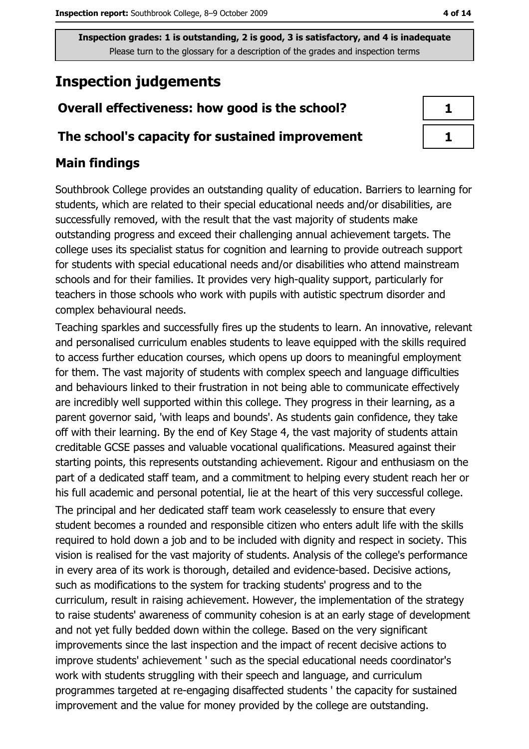# **Inspection judgements**

## Overall effectiveness: how good is the school?

## The school's capacity for sustained improvement

## **Main findings**

Southbrook College provides an outstanding quality of education. Barriers to learning for students, which are related to their special educational needs and/or disabilities, are successfully removed, with the result that the vast majority of students make outstanding progress and exceed their challenging annual achievement targets. The college uses its specialist status for cognition and learning to provide outreach support for students with special educational needs and/or disabilities who attend mainstream schools and for their families. It provides very high-quality support, particularly for teachers in those schools who work with pupils with autistic spectrum disorder and complex behavioural needs.

Teaching sparkles and successfully fires up the students to learn. An innovative, relevant and personalised curriculum enables students to leave equipped with the skills required to access further education courses, which opens up doors to meaningful employment for them. The vast majority of students with complex speech and language difficulties and behaviours linked to their frustration in not being able to communicate effectively are incredibly well supported within this college. They progress in their learning, as a parent governor said, 'with leaps and bounds'. As students gain confidence, they take off with their learning. By the end of Key Stage 4, the vast majority of students attain creditable GCSE passes and valuable vocational qualifications. Measured against their starting points, this represents outstanding achievement. Rigour and enthusiasm on the part of a dedicated staff team, and a commitment to helping every student reach her or his full academic and personal potential, lie at the heart of this very successful college.

The principal and her dedicated staff team work ceaselessly to ensure that every student becomes a rounded and responsible citizen who enters adult life with the skills required to hold down a job and to be included with dignity and respect in society. This vision is realised for the vast majority of students. Analysis of the college's performance in every area of its work is thorough, detailed and evidence-based. Decisive actions, such as modifications to the system for tracking students' progress and to the curriculum, result in raising achievement. However, the implementation of the strategy to raise students' awareness of community cohesion is at an early stage of development and not yet fully bedded down within the college. Based on the very significant improvements since the last inspection and the impact of recent decisive actions to improve students' achievement ' such as the special educational needs coordinator's work with students struggling with their speech and language, and curriculum programmes targeted at re-engaging disaffected students 'the capacity for sustained improvement and the value for money provided by the college are outstanding.

| ٦ |
|---|
|   |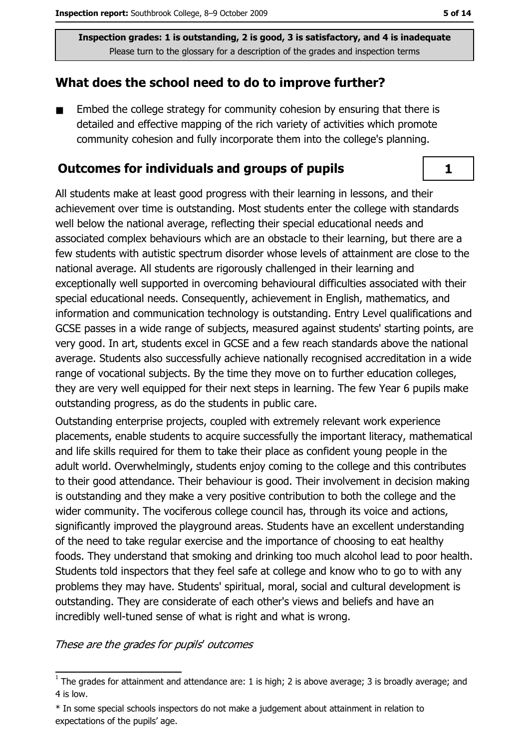## What does the school need to do to improve further?

Embed the college strategy for community cohesion by ensuring that there is  $\blacksquare$ detailed and effective mapping of the rich variety of activities which promote community cohesion and fully incorporate them into the college's planning.

#### **Outcomes for individuals and groups of pupils**

All students make at least good progress with their learning in lessons, and their achievement over time is outstanding. Most students enter the college with standards well below the national average, reflecting their special educational needs and associated complex behaviours which are an obstacle to their learning, but there are a few students with autistic spectrum disorder whose levels of attainment are close to the national average. All students are rigorously challenged in their learning and exceptionally well supported in overcoming behavioural difficulties associated with their special educational needs. Consequently, achievement in English, mathematics, and information and communication technology is outstanding. Entry Level qualifications and GCSE passes in a wide range of subjects, measured against students' starting points, are very good. In art, students excel in GCSE and a few reach standards above the national average. Students also successfully achieve nationally recognised accreditation in a wide range of vocational subjects. By the time they move on to further education colleges, they are very well equipped for their next steps in learning. The few Year 6 pupils make outstanding progress, as do the students in public care.

Outstanding enterprise projects, coupled with extremely relevant work experience placements, enable students to acquire successfully the important literacy, mathematical and life skills required for them to take their place as confident young people in the adult world. Overwhelmingly, students enjoy coming to the college and this contributes to their good attendance. Their behaviour is good. Their involvement in decision making is outstanding and they make a very positive contribution to both the college and the wider community. The vociferous college council has, through its voice and actions, significantly improved the playground areas. Students have an excellent understanding of the need to take regular exercise and the importance of choosing to eat healthy foods. They understand that smoking and drinking too much alcohol lead to poor health. Students told inspectors that they feel safe at college and know who to go to with any problems they may have. Students' spiritual, moral, social and cultural development is outstanding. They are considerate of each other's views and beliefs and have an incredibly well-tuned sense of what is right and what is wrong.

These are the grades for pupils' outcomes

 $\mathbf{1}$ 

 $\overline{1}$  The grades for attainment and attendance are: 1 is high; 2 is above average; 3 is broadly average; and 4 is low.

<sup>\*</sup> In some special schools inspectors do not make a judgement about attainment in relation to expectations of the pupils' age.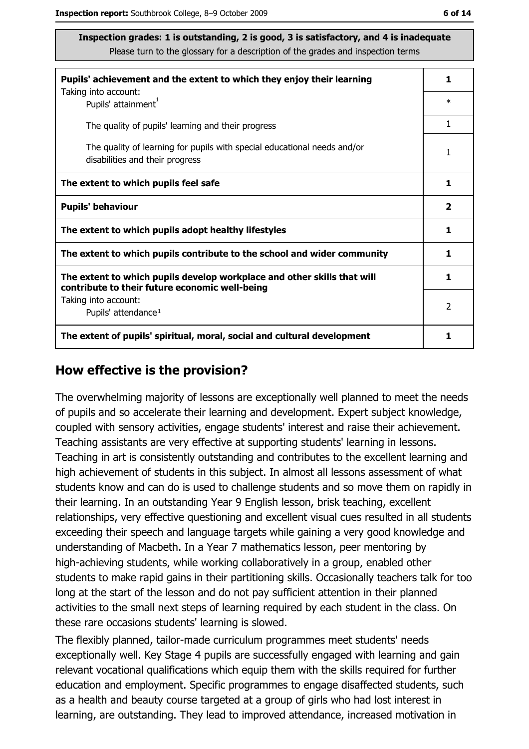| Pupils' achievement and the extent to which they enjoy their learning                                                     |   |  |
|---------------------------------------------------------------------------------------------------------------------------|---|--|
| Taking into account:<br>Pupils' attainment <sup>1</sup>                                                                   |   |  |
| The quality of pupils' learning and their progress                                                                        | 1 |  |
| The quality of learning for pupils with special educational needs and/or<br>disabilities and their progress               |   |  |
| The extent to which pupils feel safe                                                                                      |   |  |
| <b>Pupils' behaviour</b>                                                                                                  |   |  |
| The extent to which pupils adopt healthy lifestyles                                                                       |   |  |
| The extent to which pupils contribute to the school and wider community                                                   |   |  |
| The extent to which pupils develop workplace and other skills that will<br>contribute to their future economic well-being |   |  |
| Taking into account:<br>Pupils' attendance <sup>1</sup>                                                                   |   |  |
| The extent of pupils' spiritual, moral, social and cultural development                                                   |   |  |

#### How effective is the provision?

The overwhelming majority of lessons are exceptionally well planned to meet the needs of pupils and so accelerate their learning and development. Expert subject knowledge, coupled with sensory activities, engage students' interest and raise their achievement. Teaching assistants are very effective at supporting students' learning in lessons. Teaching in art is consistently outstanding and contributes to the excellent learning and high achievement of students in this subject. In almost all lessons assessment of what students know and can do is used to challenge students and so move them on rapidly in their learning. In an outstanding Year 9 English lesson, brisk teaching, excellent relationships, very effective questioning and excellent visual cues resulted in all students exceeding their speech and language targets while gaining a very good knowledge and understanding of Macbeth. In a Year 7 mathematics lesson, peer mentoring by high-achieving students, while working collaboratively in a group, enabled other students to make rapid gains in their partitioning skills. Occasionally teachers talk for too long at the start of the lesson and do not pay sufficient attention in their planned activities to the small next steps of learning required by each student in the class. On these rare occasions students' learning is slowed.

The flexibly planned, tailor-made curriculum programmes meet students' needs exceptionally well. Key Stage 4 pupils are successfully engaged with learning and gain relevant vocational qualifications which equip them with the skills required for further education and employment. Specific programmes to engage disaffected students, such as a health and beauty course targeted at a group of girls who had lost interest in learning, are outstanding. They lead to improved attendance, increased motivation in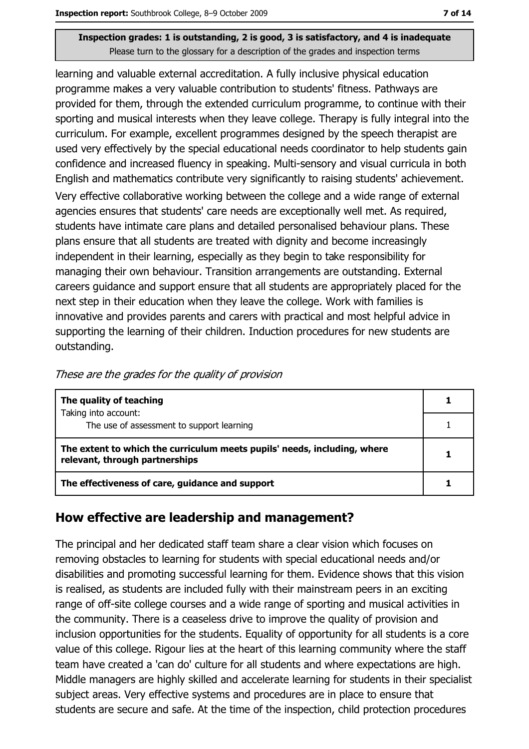learning and valuable external accreditation. A fully inclusive physical education programme makes a very valuable contribution to students' fitness. Pathways are provided for them, through the extended curriculum programme, to continue with their sporting and musical interests when they leave college. Therapy is fully integral into the curriculum. For example, excellent programmes designed by the speech therapist are used very effectively by the special educational needs coordinator to help students gain confidence and increased fluency in speaking. Multi-sensory and visual curricula in both English and mathematics contribute very significantly to raising students' achievement. Very effective collaborative working between the college and a wide range of external agencies ensures that students' care needs are exceptionally well met. As required, students have intimate care plans and detailed personalised behaviour plans. These plans ensure that all students are treated with dignity and become increasingly independent in their learning, especially as they begin to take responsibility for managing their own behaviour. Transition arrangements are outstanding. External careers guidance and support ensure that all students are appropriately placed for the next step in their education when they leave the college. Work with families is innovative and provides parents and carers with practical and most helpful advice in supporting the learning of their children. Induction procedures for new students are outstanding.

| The quality of teaching                                                                                    |  |
|------------------------------------------------------------------------------------------------------------|--|
| Taking into account:                                                                                       |  |
| The use of assessment to support learning                                                                  |  |
| The extent to which the curriculum meets pupils' needs, including, where<br>relevant, through partnerships |  |
| The effectiveness of care, guidance and support                                                            |  |

## How effective are leadership and management?

The principal and her dedicated staff team share a clear vision which focuses on removing obstacles to learning for students with special educational needs and/or disabilities and promoting successful learning for them. Evidence shows that this vision is realised, as students are included fully with their mainstream peers in an exciting range of off-site college courses and a wide range of sporting and musical activities in the community. There is a ceaseless drive to improve the quality of provision and inclusion opportunities for the students. Equality of opportunity for all students is a core value of this college. Rigour lies at the heart of this learning community where the staff team have created a 'can do' culture for all students and where expectations are high. Middle managers are highly skilled and accelerate learning for students in their specialist subject areas. Very effective systems and procedures are in place to ensure that students are secure and safe. At the time of the inspection, child protection procedures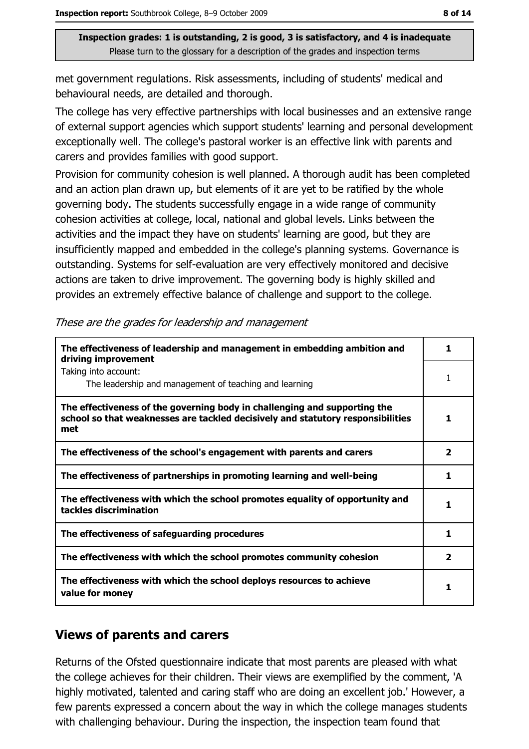met government regulations. Risk assessments, including of students' medical and behavioural needs, are detailed and thorough.

The college has very effective partnerships with local businesses and an extensive range of external support agencies which support students' learning and personal development exceptionally well. The college's pastoral worker is an effective link with parents and carers and provides families with good support.

Provision for community cohesion is well planned. A thorough audit has been completed and an action plan drawn up, but elements of it are yet to be ratified by the whole governing body. The students successfully engage in a wide range of community cohesion activities at college, local, national and global levels. Links between the activities and the impact they have on students' learning are good, but they are insufficiently mapped and embedded in the college's planning systems. Governance is outstanding. Systems for self-evaluation are very effectively monitored and decisive actions are taken to drive improvement. The governing body is highly skilled and provides an extremely effective balance of challenge and support to the college.

| The effectiveness of leadership and management in embedding ambition and<br>driving improvement                                                                     |                |  |
|---------------------------------------------------------------------------------------------------------------------------------------------------------------------|----------------|--|
| Taking into account:<br>The leadership and management of teaching and learning                                                                                      |                |  |
| The effectiveness of the governing body in challenging and supporting the<br>school so that weaknesses are tackled decisively and statutory responsibilities<br>met | 1              |  |
| The effectiveness of the school's engagement with parents and carers                                                                                                | $\overline{2}$ |  |
| The effectiveness of partnerships in promoting learning and well-being                                                                                              | 1              |  |
| The effectiveness with which the school promotes equality of opportunity and<br>tackles discrimination                                                              | 1              |  |
| The effectiveness of safeguarding procedures                                                                                                                        | 1              |  |
| The effectiveness with which the school promotes community cohesion                                                                                                 |                |  |
| The effectiveness with which the school deploys resources to achieve<br>value for money                                                                             |                |  |

These are the grades for leadership and management

## **Views of parents and carers**

Returns of the Ofsted questionnaire indicate that most parents are pleased with what the college achieves for their children. Their views are exemplified by the comment, 'A highly motivated, talented and caring staff who are doing an excellent job.' However, a few parents expressed a concern about the way in which the college manages students with challenging behaviour. During the inspection, the inspection team found that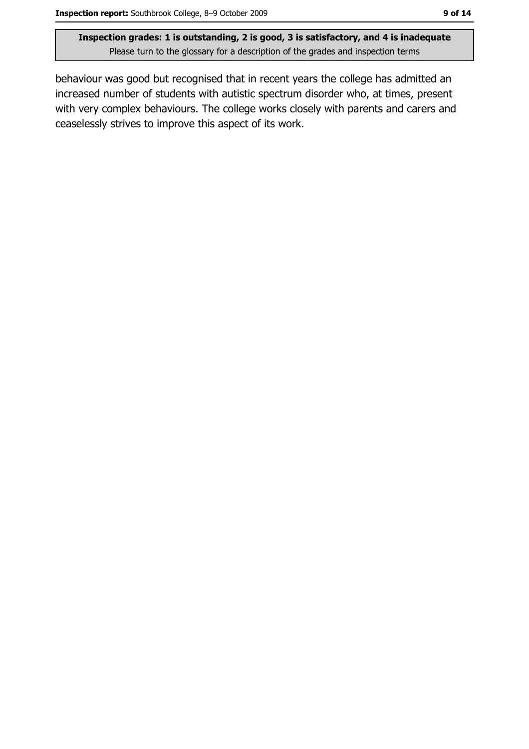behaviour was good but recognised that in recent years the college has admitted an increased number of students with autistic spectrum disorder who, at times, present with very complex behaviours. The college works closely with parents and carers and ceaselessly strives to improve this aspect of its work.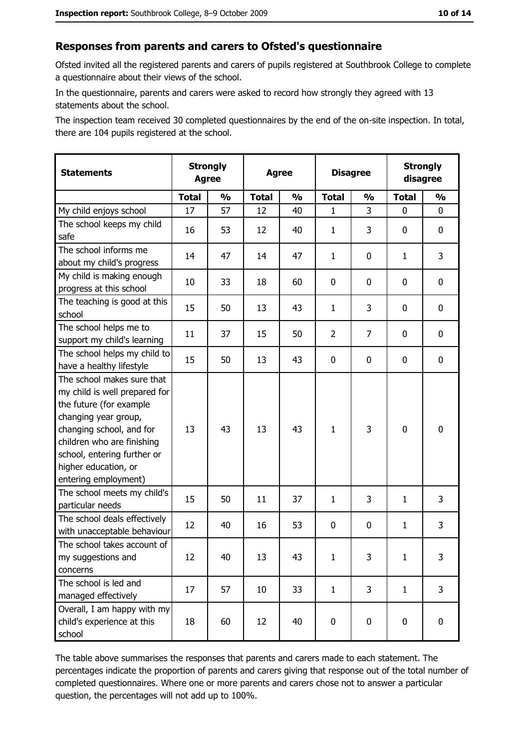#### Responses from parents and carers to Ofsted's questionnaire

Ofsted invited all the registered parents and carers of pupils registered at Southbrook College to complete a questionnaire about their views of the school.

In the questionnaire, parents and carers were asked to record how strongly they agreed with 13 statements about the school.

The inspection team received 30 completed questionnaires by the end of the on-site inspection. In total, there are 104 pupils registered at the school.

| <b>Statements</b>                                                                                                                                                                                                                                       | <b>Strongly</b><br><b>Agree</b> | <b>Strongly</b><br><b>Disagree</b><br><b>Agree</b><br>disagree |              |               |                |               |              |               |
|---------------------------------------------------------------------------------------------------------------------------------------------------------------------------------------------------------------------------------------------------------|---------------------------------|----------------------------------------------------------------|--------------|---------------|----------------|---------------|--------------|---------------|
|                                                                                                                                                                                                                                                         | <b>Total</b>                    | $\frac{1}{2}$                                                  | <b>Total</b> | $\frac{0}{0}$ | <b>Total</b>   | $\frac{0}{0}$ | <b>Total</b> | $\frac{1}{2}$ |
| My child enjoys school                                                                                                                                                                                                                                  | 17                              | 57                                                             | 12           | 40            | $\mathbf{1}$   | 3             | 0            | 0             |
| The school keeps my child<br>safe                                                                                                                                                                                                                       | 16                              | 53                                                             | 12           | 40            | $\mathbf{1}$   | 3             | 0            | 0             |
| The school informs me<br>about my child's progress                                                                                                                                                                                                      | 14                              | 47                                                             | 14           | 47            | $\mathbf{1}$   | 0             | 1            | 3             |
| My child is making enough<br>progress at this school                                                                                                                                                                                                    | 10                              | 33                                                             | 18           | 60            | $\mathbf 0$    | 0             | 0            | 0             |
| The teaching is good at this<br>school                                                                                                                                                                                                                  | 15                              | 50                                                             | 13           | 43            | $\mathbf{1}$   | 3             | 0            | 0             |
| The school helps me to<br>support my child's learning                                                                                                                                                                                                   | 11                              | 37                                                             | 15           | 50            | $\overline{2}$ | 7             | 0            | 0             |
| The school helps my child to<br>have a healthy lifestyle                                                                                                                                                                                                | 15                              | 50                                                             | 13           | 43            | $\mathbf 0$    | 0             | 0            | 0             |
| The school makes sure that<br>my child is well prepared for<br>the future (for example<br>changing year group,<br>changing school, and for<br>children who are finishing<br>school, entering further or<br>higher education, or<br>entering employment) | 13                              | 43                                                             | 13           | 43            | $\mathbf{1}$   | 3             | $\mathbf 0$  | 0             |
| The school meets my child's<br>particular needs                                                                                                                                                                                                         | 15                              | 50                                                             | 11           | 37            | $\mathbf{1}$   | 3             | $\mathbf{1}$ | 3             |
| The school deals effectively<br>with unacceptable behaviour                                                                                                                                                                                             | 12                              | 40                                                             | 16           | 53            | $\mathbf 0$    | 0             | 1            | 3             |
| The school takes account of<br>my suggestions and<br>concerns                                                                                                                                                                                           | 12                              | 40                                                             | 13           | 43            | $\mathbf{1}$   | 3             | $\mathbf{1}$ | 3             |
| The school is led and<br>managed effectively                                                                                                                                                                                                            | 17                              | 57                                                             | 10           | 33            | $\mathbf{1}$   | 3             | $\mathbf{1}$ | 3             |
| Overall, I am happy with my<br>child's experience at this<br>school                                                                                                                                                                                     | 18                              | 60                                                             | 12           | 40            | $\mathbf 0$    | 0             | $\mathbf 0$  | 0             |

The table above summarises the responses that parents and carers made to each statement. The percentages indicate the proportion of parents and carers giving that response out of the total number of completed questionnaires. Where one or more parents and carers chose not to answer a particular question, the percentages will not add up to 100%.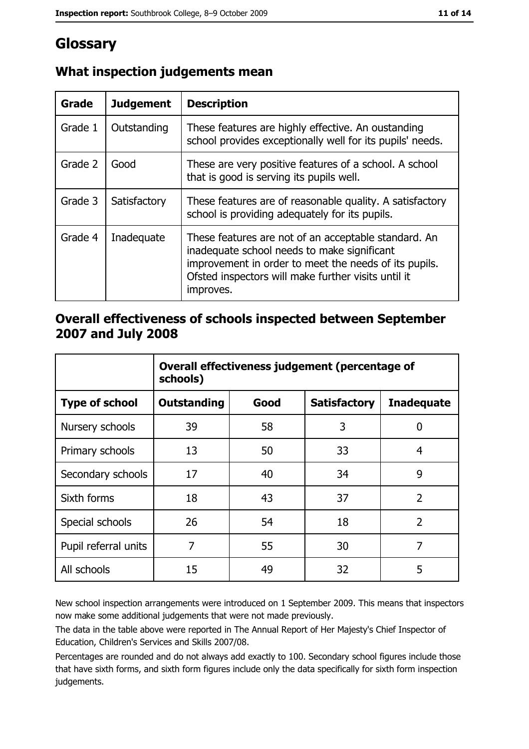# Glossary

| Grade   | <b>Judgement</b> | <b>Description</b>                                                                                                                                                                                                               |
|---------|------------------|----------------------------------------------------------------------------------------------------------------------------------------------------------------------------------------------------------------------------------|
| Grade 1 | Outstanding      | These features are highly effective. An oustanding<br>school provides exceptionally well for its pupils' needs.                                                                                                                  |
| Grade 2 | Good             | These are very positive features of a school. A school<br>that is good is serving its pupils well.                                                                                                                               |
| Grade 3 | Satisfactory     | These features are of reasonable quality. A satisfactory<br>school is providing adequately for its pupils.                                                                                                                       |
| Grade 4 | Inadequate       | These features are not of an acceptable standard. An<br>inadequate school needs to make significant<br>improvement in order to meet the needs of its pupils.<br>Ofsted inspectors will make further visits until it<br>improves. |

## What inspection judgements mean

## Overall effectiveness of schools inspected between September 2007 and July 2008

|                       | Overall effectiveness judgement (percentage of<br>schools) |      |                     |                   |  |
|-----------------------|------------------------------------------------------------|------|---------------------|-------------------|--|
| <b>Type of school</b> | <b>Outstanding</b>                                         | Good | <b>Satisfactory</b> | <b>Inadequate</b> |  |
| Nursery schools       | 39                                                         | 58   | 3                   | 0                 |  |
| Primary schools       | 13                                                         | 50   | 33                  | 4                 |  |
| Secondary schools     | 17                                                         | 40   | 34                  | 9                 |  |
| Sixth forms           | 18                                                         | 43   | 37                  | $\overline{2}$    |  |
| Special schools       | 26                                                         | 54   | 18                  | $\overline{2}$    |  |
| Pupil referral units  | 7                                                          | 55   | 30                  | 7                 |  |
| All schools           | 15                                                         | 49   | 32                  | 5                 |  |

New school inspection arrangements were introduced on 1 September 2009. This means that inspectors now make some additional judgements that were not made previously.

The data in the table above were reported in The Annual Report of Her Majesty's Chief Inspector of Education, Children's Services and Skills 2007/08.

Percentages are rounded and do not always add exactly to 100. Secondary school figures include those that have sixth forms, and sixth form figures include only the data specifically for sixth form inspection judgements.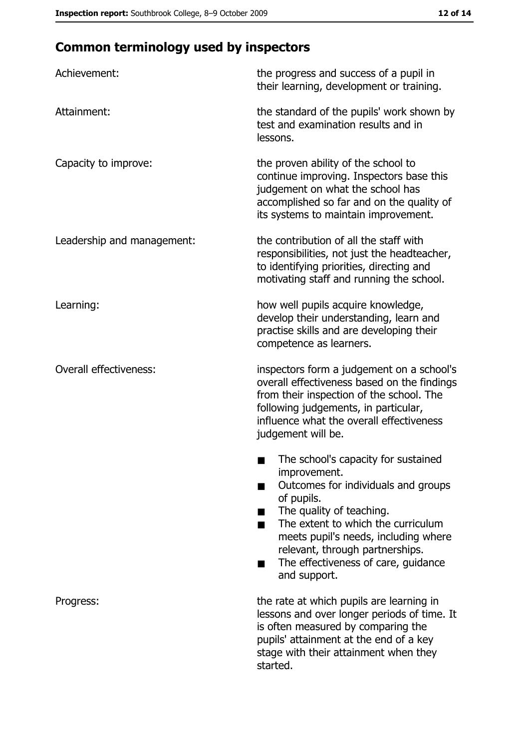# **Common terminology used by inspectors**

| Achievement:                  | the progress and success of a pupil in<br>their learning, development or training.                                                                                                                                                                                                                           |
|-------------------------------|--------------------------------------------------------------------------------------------------------------------------------------------------------------------------------------------------------------------------------------------------------------------------------------------------------------|
| Attainment:                   | the standard of the pupils' work shown by<br>test and examination results and in<br>lessons.                                                                                                                                                                                                                 |
| Capacity to improve:          | the proven ability of the school to<br>continue improving. Inspectors base this<br>judgement on what the school has<br>accomplished so far and on the quality of<br>its systems to maintain improvement.                                                                                                     |
| Leadership and management:    | the contribution of all the staff with<br>responsibilities, not just the headteacher,<br>to identifying priorities, directing and<br>motivating staff and running the school.                                                                                                                                |
| Learning:                     | how well pupils acquire knowledge,<br>develop their understanding, learn and<br>practise skills and are developing their<br>competence as learners.                                                                                                                                                          |
| <b>Overall effectiveness:</b> | inspectors form a judgement on a school's<br>overall effectiveness based on the findings<br>from their inspection of the school. The<br>following judgements, in particular,<br>influence what the overall effectiveness<br>judgement will be.                                                               |
|                               | The school's capacity for sustained<br>improvement.<br>Outcomes for individuals and groups<br>of pupils.<br>The quality of teaching.<br>The extent to which the curriculum<br>meets pupil's needs, including where<br>relevant, through partnerships.<br>The effectiveness of care, guidance<br>and support. |
| Progress:                     | the rate at which pupils are learning in<br>lessons and over longer periods of time. It<br>is often measured by comparing the<br>pupils' attainment at the end of a key<br>stage with their attainment when they<br>started.                                                                                 |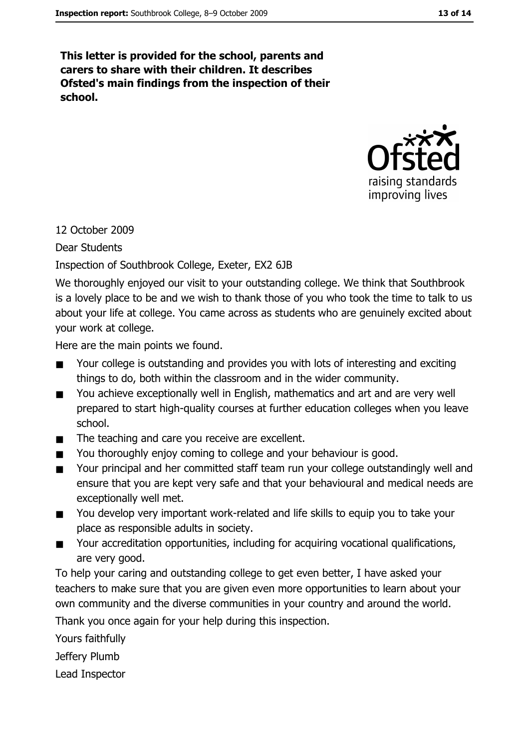This letter is provided for the school, parents and carers to share with their children. It describes Ofsted's main findings from the inspection of their school.



## 12 October 2009

Dear Students

Inspection of Southbrook College, Exeter, EX2 6JB

We thoroughly enjoyed our visit to your outstanding college. We think that Southbrook is a lovely place to be and we wish to thank those of you who took the time to talk to us about your life at college. You came across as students who are genuinely excited about your work at college.

Here are the main points we found.

- Your college is outstanding and provides you with lots of interesting and exciting  $\blacksquare$ things to do, both within the classroom and in the wider community.
- You achieve exceptionally well in English, mathematics and art and are very well  $\blacksquare$ prepared to start high-quality courses at further education colleges when you leave school.
- The teaching and care you receive are excellent.  $\blacksquare$
- You thoroughly enjoy coming to college and your behaviour is good.  $\blacksquare$
- Your principal and her committed staff team run your college outstandingly well and  $\blacksquare$ ensure that you are kept very safe and that your behavioural and medical needs are exceptionally well met.
- You develop very important work-related and life skills to equip you to take your  $\blacksquare$ place as responsible adults in society.
- Your accreditation opportunities, including for acquiring vocational qualifications,  $\blacksquare$ are very good.

To help your caring and outstanding college to get even better, I have asked your teachers to make sure that you are given even more opportunities to learn about your own community and the diverse communities in your country and around the world.

Thank you once again for your help during this inspection.

Yours faithfully

Jeffery Plumb

Lead Inspector